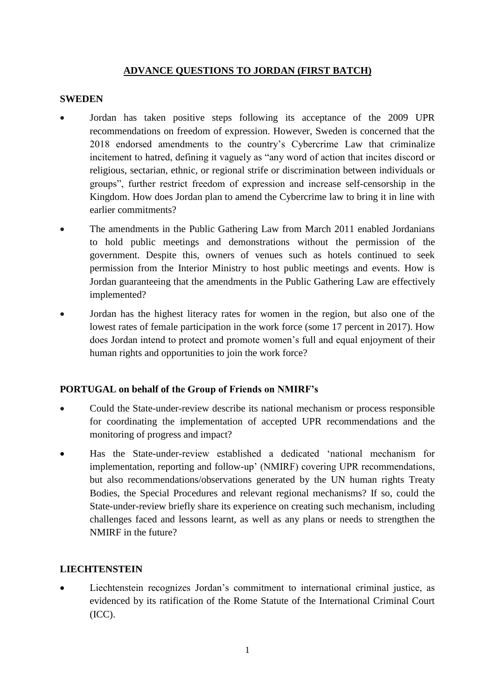### **ADVANCE QUESTIONS TO JORDAN (FIRST BATCH)**

#### **SWEDEN**

- Jordan has taken positive steps following its acceptance of the 2009 UPR recommendations on freedom of expression. However, Sweden is concerned that the 2018 endorsed amendments to the country's Cybercrime Law that criminalize incitement to hatred, defining it vaguely as "any word of action that incites discord or religious, sectarian, ethnic, or regional strife or discrimination between individuals or groups", further restrict freedom of expression and increase self-censorship in the Kingdom. How does Jordan plan to amend the Cybercrime law to bring it in line with earlier commitments?
- The amendments in the Public Gathering Law from March 2011 enabled Jordanians to hold public meetings and demonstrations without the permission of the government. Despite this, owners of venues such as hotels continued to seek permission from the Interior Ministry to host public meetings and events. How is Jordan guaranteeing that the amendments in the Public Gathering Law are effectively implemented?
- Jordan has the highest literacy rates for women in the region, but also one of the lowest rates of female participation in the work force (some 17 percent in 2017). How does Jordan intend to protect and promote women's full and equal enjoyment of their human rights and opportunities to join the work force?

### **PORTUGAL on behalf of the Group of Friends on NMIRF's**

- Could the State-under-review describe its national mechanism or process responsible for coordinating the implementation of accepted UPR recommendations and the monitoring of progress and impact?
- Has the State-under-review established a dedicated 'national mechanism for implementation, reporting and follow-up' (NMIRF) covering UPR recommendations, but also recommendations/observations generated by the UN human rights Treaty Bodies, the Special Procedures and relevant regional mechanisms? If so, could the State-under-review briefly share its experience on creating such mechanism, including challenges faced and lessons learnt, as well as any plans or needs to strengthen the NMIRF in the future?

### **LIECHTENSTEIN**

Liechtenstein recognizes Jordan's commitment to international criminal justice, as evidenced by its ratification of the Rome Statute of the International Criminal Court (ICC).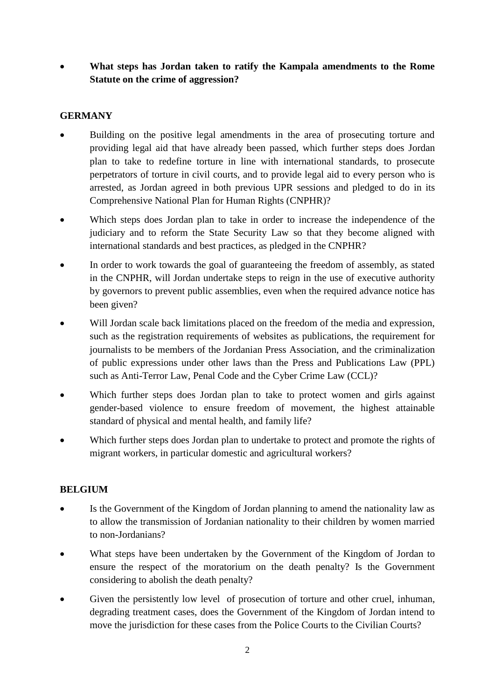• **What steps has Jordan taken to ratify the Kampala amendments to the Rome Statute on the crime of aggression?**

## **GERMANY**

- Building on the positive legal amendments in the area of prosecuting torture and providing legal aid that have already been passed, which further steps does Jordan plan to take to redefine torture in line with international standards, to prosecute perpetrators of torture in civil courts, and to provide legal aid to every person who is arrested, as Jordan agreed in both previous UPR sessions and pledged to do in its Comprehensive National Plan for Human Rights (CNPHR)?
- Which steps does Jordan plan to take in order to increase the independence of the judiciary and to reform the State Security Law so that they become aligned with international standards and best practices, as pledged in the CNPHR?
- In order to work towards the goal of guaranteeing the freedom of assembly, as stated in the CNPHR, will Jordan undertake steps to reign in the use of executive authority by governors to prevent public assemblies, even when the required advance notice has been given?
- Will Jordan scale back limitations placed on the freedom of the media and expression, such as the registration requirements of websites as publications, the requirement for journalists to be members of the Jordanian Press Association, and the criminalization of public expressions under other laws than the Press and Publications Law (PPL) such as Anti-Terror Law, Penal Code and the Cyber Crime Law (CCL)?
- Which further steps does Jordan plan to take to protect women and girls against gender-based violence to ensure freedom of movement, the highest attainable standard of physical and mental health, and family life?
- Which further steps does Jordan plan to undertake to protect and promote the rights of migrant workers, in particular domestic and agricultural workers?

### **BELGIUM**

- Is the Government of the Kingdom of Jordan planning to amend the nationality law as to allow the transmission of Jordanian nationality to their children by women married to non-Jordanians?
- What steps have been undertaken by the Government of the Kingdom of Jordan to ensure the respect of the moratorium on the death penalty? Is the Government considering to abolish the death penalty?
- Given the persistently low level of prosecution of torture and other cruel, inhuman, degrading treatment cases, does the Government of the Kingdom of Jordan intend to move the jurisdiction for these cases from the Police Courts to the Civilian Courts?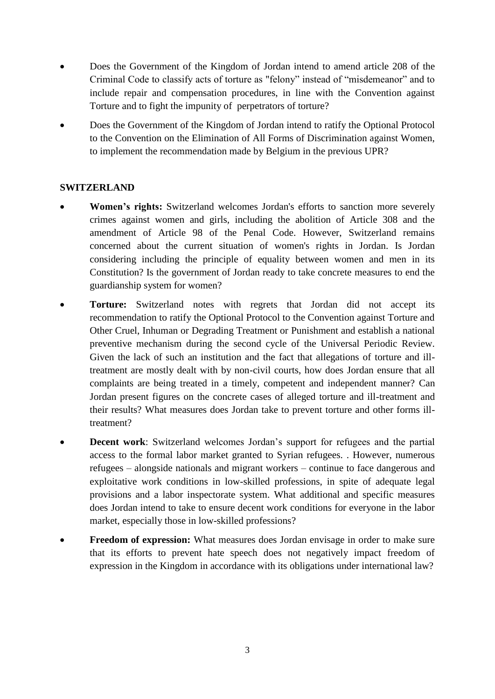- Does the Government of the Kingdom of Jordan intend to amend article 208 of the Criminal Code to classify acts of torture as "felony" instead of "misdemeanor" and to include repair and compensation procedures, in line with the Convention against Torture and to fight the impunity of perpetrators of torture?
- Does the Government of the Kingdom of Jordan intend to ratify the Optional Protocol to the Convention on the Elimination of All Forms of Discrimination against Women, to implement the recommendation made by Belgium in the previous UPR?

### **SWITZERLAND**

- **Women's rights:** Switzerland welcomes Jordan's efforts to sanction more severely crimes against women and girls, including the abolition of Article 308 and the amendment of Article 98 of the Penal Code. However, Switzerland remains concerned about the current situation of women's rights in Jordan. Is Jordan considering including the principle of equality between women and men in its Constitution? Is the government of Jordan ready to take concrete measures to end the guardianship system for women?
- **Torture:** Switzerland notes with regrets that Jordan did not accept its recommendation to ratify the Optional Protocol to the Convention against Torture and Other Cruel, Inhuman or Degrading Treatment or Punishment and establish a national preventive mechanism during the second cycle of the Universal Periodic Review. Given the lack of such an institution and the fact that allegations of torture and illtreatment are mostly dealt with by non-civil courts, how does Jordan ensure that all complaints are being treated in a timely, competent and independent manner? Can Jordan present figures on the concrete cases of alleged torture and ill-treatment and their results? What measures does Jordan take to prevent torture and other forms illtreatment?
- **Decent work**: Switzerland welcomes Jordan's support for refugees and the partial access to the formal labor market granted to Syrian refugees. . However, numerous refugees – alongside nationals and migrant workers – continue to face dangerous and exploitative work conditions in low-skilled professions, in spite of adequate legal provisions and a labor inspectorate system. What additional and specific measures does Jordan intend to take to ensure decent work conditions for everyone in the labor market, especially those in low-skilled professions?
- **Freedom of expression:** What measures does Jordan envisage in order to make sure that its efforts to prevent hate speech does not negatively impact freedom of expression in the Kingdom in accordance with its obligations under international law?